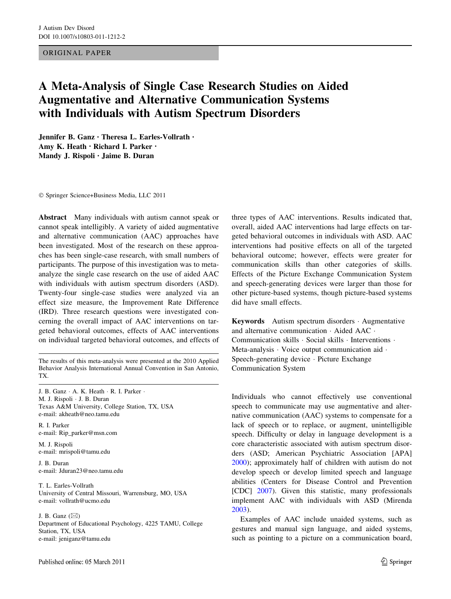# ORIGINAL PAPER

# A Meta-Analysis of Single Case Research Studies on Aided Augmentative and Alternative Communication Systems with Individuals with Autism Spectrum Disorders

Jennifer B. Ganz • Theresa L. Earles-Vollrath • Amy K. Heath • Richard I. Parker • Mandy J. Rispoli • Jaime B. Duran

- Springer Science+Business Media, LLC 2011

Abstract Many individuals with autism cannot speak or cannot speak intelligibly. A variety of aided augmentative and alternative communication (AAC) approaches have been investigated. Most of the research on these approaches has been single-case research, with small numbers of participants. The purpose of this investigation was to metaanalyze the single case research on the use of aided AAC with individuals with autism spectrum disorders (ASD). Twenty-four single-case studies were analyzed via an effect size measure, the Improvement Rate Difference (IRD). Three research questions were investigated concerning the overall impact of AAC interventions on targeted behavioral outcomes, effects of AAC interventions on individual targeted behavioral outcomes, and effects of

The results of this meta-analysis were presented at the 2010 Applied Behavior Analysis International Annual Convention in San Antonio, TX.

J. B. Ganz - A. K. Heath - R. I. Parker - M. J. Rispoli - J. B. Duran Texas A&M University, College Station, TX, USA e-mail: akheath@neo.tamu.edu

R. I. Parker e-mail: Rip\_parker@msn.com

M. J. Rispoli e-mail: mrispoli@tamu.edu

J. B. Duran e-mail: Jduran23@neo.tamu.edu

T. L. Earles-Vollrath University of Central Missouri, Warrensburg, MO, USA e-mail: vollrath@ucmo.edu

J. B. Ganz  $(\boxtimes)$ Department of Educational Psychology, 4225 TAMU, College Station, TX, USA e-mail: jeniganz@tamu.edu

Published online: 05 March 2011

three types of AAC interventions. Results indicated that, overall, aided AAC interventions had large effects on targeted behavioral outcomes in individuals with ASD. AAC interventions had positive effects on all of the targeted behavioral outcome; however, effects were greater for communication skills than other categories of skills. Effects of the Picture Exchange Communication System and speech-generating devices were larger than those for other picture-based systems, though picture-based systems did have small effects.

Keywords Autism spectrum disorders - Augmentative and alternative communication · Aided AAC · Communication skills - Social skills - Interventions -Meta-analysis · Voice output communication aid · Speech-generating device - Picture Exchange Communication System

Individuals who cannot effectively use conventional speech to communicate may use augmentative and alternative communication (AAC) systems to compensate for a lack of speech or to replace, or augment, unintelligible speech. Difficulty or delay in language development is a core characteristic associated with autism spectrum disorders (ASD; American Psychiatric Association [APA] [2000](#page-12-0)); approximately half of children with autism do not develop speech or develop limited speech and language abilities (Centers for Disease Control and Prevention [CDC] [2007\)](#page-12-0). Given this statistic, many professionals implement AAC with individuals with ASD (Mirenda [2003](#page-13-0)).

Examples of AAC include unaided systems, such as gestures and manual sign language, and aided systems, such as pointing to a picture on a communication board,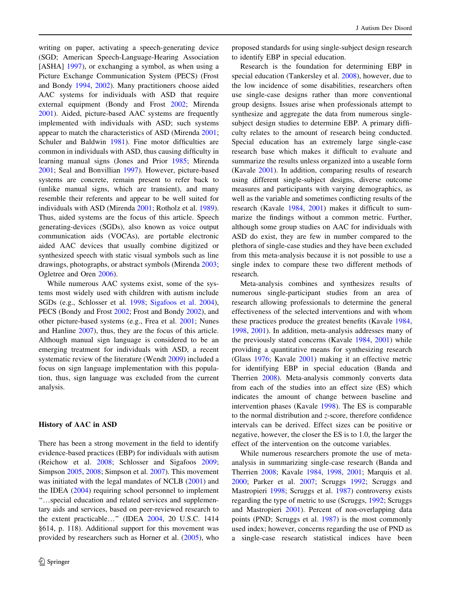writing on paper, activating a speech-generating device (SGD; American Speech-Language-Hearing Association [ASHA] [1997](#page-12-0)), or exchanging a symbol, as when using a Picture Exchange Communication System (PECS) (Frost and Bondy [1994](#page-12-0), [2002\)](#page-12-0). Many practitioners choose aided AAC systems for individuals with ASD that require external equipment (Bondy and Frost [2002](#page-12-0); Mirenda [2001\)](#page-13-0). Aided, picture-based AAC systems are frequently implemented with individuals with ASD; such systems appear to match the characteristics of ASD (Mirenda [2001](#page-13-0); Schuler and Baldwin [1981\)](#page-13-0). Fine motor difficulties are common in individuals with ASD, thus causing difficulty in learning manual signs (Jones and Prior [1985;](#page-12-0) Mirenda [2001;](#page-13-0) Seal and Bonvillian [1997\)](#page-13-0). However, picture-based systems are concrete, remain present to refer back to (unlike manual signs, which are transient), and many resemble their referents and appear to be well suited for individuals with ASD (Mirenda [2001](#page-13-0); Rotholz et al. [1989](#page-13-0)). Thus, aided systems are the focus of this article. Speech generating-devices (SGDs), also known as voice output communication aids (VOCAs), are portable electronic aided AAC devices that usually combine digitized or synthesized speech with static visual symbols such as line drawings, photographs, or abstract symbols (Mirenda [2003](#page-13-0); Ogletree and Oren [2006\)](#page-13-0).

While numerous AAC systems exist, some of the systems most widely used with children with autism include SGDs (e.g., Schlosser et al. [1998;](#page-13-0) [Sigafoos et al. 2004](#page-13-0)), PECS (Bondy and Frost [2002;](#page-12-0) Frost and Bondy [2002](#page-12-0)), and other picture-based systems (e.g., Frea et al. [2001](#page-12-0); Nunes and Hanline [2007\)](#page-13-0), thus, they are the focus of this article. Although manual sign language is considered to be an emerging treatment for individuals with ASD, a recent systematic review of the literature (Wendt [2009\)](#page-14-0) included a focus on sign language implementation with this population, thus, sign language was excluded from the current analysis.

## History of AAC in ASD

There has been a strong movement in the field to identify evidence-based practices (EBP) for individuals with autism (Reichow et al. [2008;](#page-13-0) Schlosser and Sigafoos [2009](#page-13-0); Simpson [2005](#page-13-0), [2008](#page-13-0); Simpson et al. [2007](#page-13-0)). This movement was initiated with the legal mandates of NCLB [\(2001](#page-13-0)) and the IDEA ([2004\)](#page-12-0) requiring school personnel to implement ''…special education and related services and supplementary aids and services, based on peer-reviewed research to the extent practicable…'' (IDEA [2004,](#page-12-0) 20 U.S.C. 1414 §614, p. 118). Additional support for this movement was provided by researchers such as Horner et al. ([2005\)](#page-12-0), who

proposed standards for using single-subject design research to identify EBP in special education.

Research is the foundation for determining EBP in special education (Tankersley et al. [2008](#page-14-0)), however, due to the low incidence of some disabilities, researchers often use single-case designs rather than more conventional group designs. Issues arise when professionals attempt to synthesize and aggregate the data from numerous singlesubject design studies to determine EBP. A primary difficulty relates to the amount of research being conducted. Special education has an extremely large single-case research base which makes it difficult to evaluate and summarize the results unless organized into a useable form (Kavale [2001\)](#page-12-0). In addition, comparing results of research using different single-subject designs, diverse outcome measures and participants with varying demographics, as well as the variable and sometimes conflicting results of the research (Kavale [1984](#page-12-0), [2001](#page-12-0)) makes it difficult to summarize the findings without a common metric. Further, although some group studies on AAC for individuals with ASD do exist, they are few in number compared to the plethora of single-case studies and they have been excluded from this meta-analysis because it is not possible to use a single index to compare these two different methods of research.

Meta-analysis combines and synthesizes results of numerous single-participant studies from an area of research allowing professionals to determine the general effectiveness of the selected interventions and with whom these practices produce the greatest benefits (Kavale [1984,](#page-12-0) [1998](#page-12-0), [2001\)](#page-12-0). In addition, meta-analysis addresses many of the previously stated concerns (Kavale [1984](#page-12-0), [2001](#page-12-0)) while providing a quantitative means for synthesizing research (Glass [1976;](#page-12-0) Kavale [2001\)](#page-12-0) making it an effective metric for identifying EBP in special education (Banda and Therrien [2008](#page-12-0)). Meta-analysis commonly converts data from each of the studies into an effect size (ES) which indicates the amount of change between baseline and intervention phases (Kavale [1998\)](#page-12-0). The ES is comparable to the normal distribution and z-score, therefore confidence intervals can be derived. Effect sizes can be positive or negative, however, the closer the ES is to 1.0, the larger the effect of the intervention on the outcome variables.

While numerous researchers promote the use of metaanalysis in summarizing single-case research (Banda and Therrien [2008;](#page-12-0) Kavale [1984,](#page-12-0) [1998](#page-12-0), [2001](#page-12-0); Marquis et al. [2000](#page-13-0); Parker et al. [2007](#page-13-0); Scruggs [1992;](#page-13-0) Scruggs and Mastropieri [1998;](#page-13-0) Scruggs et al. [1987](#page-13-0)) controversy exists regarding the type of metric to use (Scruggs, [1992;](#page-13-0) Scruggs and Mastropieri [2001](#page-13-0)). Percent of non-overlapping data points (PND; Scruggs et al. [1987\)](#page-13-0) is the most commonly used index; however, concerns regarding the use of PND as a single-case research statistical indices have been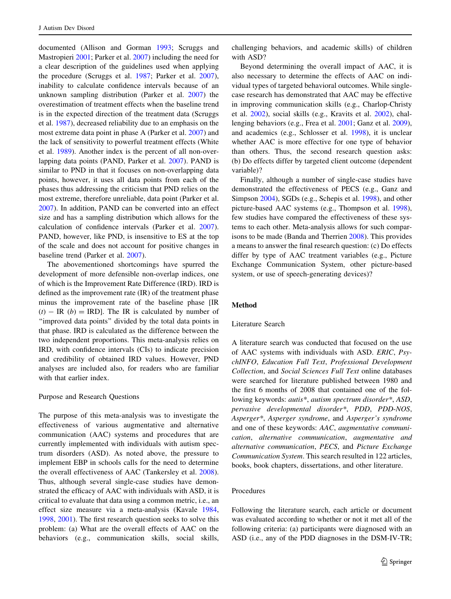documented (Allison and Gorman [1993](#page-11-0); Scruggs and Mastropieri [2001](#page-13-0); Parker et al. [2007\)](#page-13-0) including the need for a clear description of the guidelines used when applying the procedure (Scruggs et al. [1987;](#page-13-0) Parker et al. [2007](#page-13-0)), inability to calculate confidence intervals because of an unknown sampling distribution (Parker et al. [2007](#page-13-0)) the overestimation of treatment effects when the baseline trend is in the expected direction of the treatment data (Scruggs et al. [1987](#page-13-0)), decreased reliability due to an emphasis on the most extreme data point in phase A (Parker et al. [2007\)](#page-13-0) and the lack of sensitivity to powerful treatment effects (White et al. [1989\)](#page-14-0). Another index is the percent of all non-overlapping data points (PAND, Parker et al. [2007\)](#page-13-0). PAND is similar to PND in that it focuses on non-overlapping data points, however, it uses all data points from each of the phases thus addressing the criticism that PND relies on the most extreme, therefore unreliable, data point (Parker et al. [2007\)](#page-13-0). In addition, PAND can be converted into an effect size and has a sampling distribution which allows for the calculation of confidence intervals (Parker et al. [2007](#page-13-0)). PAND, however, like PND, is insensitive to ES at the top of the scale and does not account for positive changes in baseline trend (Parker et al. [2007\)](#page-13-0).

The abovementioned shortcomings have spurred the development of more defensible non-overlap indices, one of which is the Improvement Rate Difference (IRD). IRD is defined as the improvement rate (IR) of the treatment phase minus the improvement rate of the baseline phase [IR  $(t)$  – IR  $(b)$  = IRD]. The IR is calculated by number of "improved data points" divided by the total data points in that phase. IRD is calculated as the difference between the two independent proportions. This meta-analysis relies on IRD, with confidence intervals (CIs) to indicate precision and credibility of obtained IRD values. However, PND analyses are included also, for readers who are familiar with that earlier index.

#### Purpose and Research Questions

The purpose of this meta-analysis was to investigate the effectiveness of various augmentative and alternative communication (AAC) systems and procedures that are currently implemented with individuals with autism spectrum disorders (ASD). As noted above, the pressure to implement EBP in schools calls for the need to determine the overall effectiveness of AAC (Tankersley et al. [2008](#page-14-0)). Thus, although several single-case studies have demonstrated the efficacy of AAC with individuals with ASD, it is critical to evaluate that data using a common metric, i.e., an effect size measure via a meta-analysis (Kavale [1984,](#page-12-0) [1998,](#page-12-0) [2001](#page-12-0)). The first research question seeks to solve this problem: (a) What are the overall effects of AAC on the behaviors (e.g., communication skills, social skills, challenging behaviors, and academic skills) of children with ASD?

Beyond determining the overall impact of AAC, it is also necessary to determine the effects of AAC on individual types of targeted behavioral outcomes. While singlecase research has demonstrated that AAC may be effective in improving communication skills (e.g., Charlop-Christy et al. [2002\)](#page-12-0), social skills (e.g., Kravits et al. [2002\)](#page-12-0), challenging behaviors (e.g., Frea et al. [2001;](#page-12-0) Ganz et al. [2009](#page-12-0)), and academics (e.g., Schlosser et al. [1998\)](#page-13-0), it is unclear whether AAC is more effective for one type of behavior than others. Thus, the second research question asks: (b) Do effects differ by targeted client outcome (dependent variable)?

Finally, although a number of single-case studies have demonstrated the effectiveness of PECS (e.g., Ganz and Simpson [2004\)](#page-12-0), SGDs (e.g., Schepis et al. [1998\)](#page-13-0), and other picture-based AAC systems (e.g., Thompson et al. [1998](#page-14-0)), few studies have compared the effectiveness of these systems to each other. Meta-analysis allows for such comparisons to be made (Banda and Therrien [2008](#page-12-0)). This provides a means to answer the final research question: (c) Do effects differ by type of AAC treatment variables (e.g., Picture Exchange Communication System, other picture-based system, or use of speech-generating devices)?

# Method

## Literature Search

A literature search was conducted that focused on the use of AAC systems with individuals with ASD. ERIC, PsychINFO, Education Full Text, Professional Development Collection, and Social Sciences Full Text online databases were searched for literature published between 1980 and the first 6 months of 2008 that contained one of the following keywords: autis\*, autism spectrum disorder\*, ASD, pervasive developmental disorder\*, PDD, PDD-NOS, Asperger\*, Asperger syndrome, and Asperger's syndrome and one of these keywords: AAC, augmentative communication, alternative communication, augmentative and alternative communication, PECS, and Picture Exchange Communication System. This search resulted in 122 articles, books, book chapters, dissertations, and other literature.

# Procedures

Following the literature search, each article or document was evaluated according to whether or not it met all of the following criteria: (a) participants were diagnosed with an ASD (i.e., any of the PDD diagnoses in the DSM-IV-TR;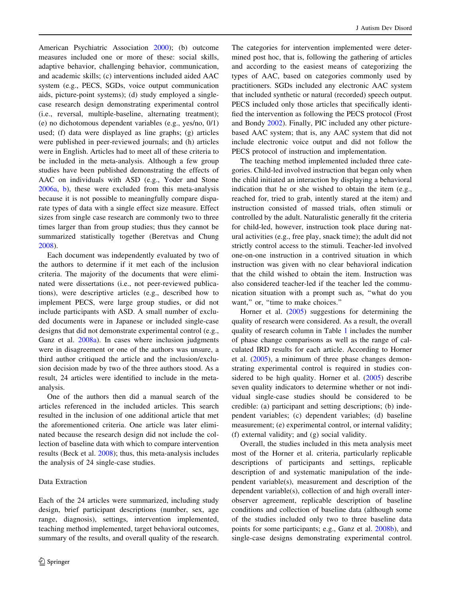American Psychiatric Association [2000\)](#page-12-0); (b) outcome measures included one or more of these: social skills, adaptive behavior, challenging behavior, communication, and academic skills; (c) interventions included aided AAC system (e.g., PECS, SGDs, voice output communication aids, picture-point systems); (d) study employed a singlecase research design demonstrating experimental control (i.e., reversal, multiple-baseline, alternating treatment); (e) no dichotomous dependent variables (e.g., yes/no, 0/1) used; (f) data were displayed as line graphs; (g) articles were published in peer-reviewed journals; and (h) articles were in English. Articles had to meet all of these criteria to be included in the meta-analysis. Although a few group studies have been published demonstrating the effects of AAC on individuals with ASD (e.g., Yoder and Stone [2006a](#page-14-0), [b\)](#page-14-0), these were excluded from this meta-analysis because it is not possible to meaningfully compare disparate types of data with a single effect size measure. Effect sizes from single case research are commonly two to three times larger than from group studies; thus they cannot be summarized statistically together (Beretvas and Chung [2008\)](#page-12-0).

Each document was independently evaluated by two of the authors to determine if it met each of the inclusion criteria. The majority of the documents that were eliminated were dissertations (i.e., not peer-reviewed publications), were descriptive articles (e.g., described how to implement PECS, were large group studies, or did not include participants with ASD. A small number of excluded documents were in Japanese or included single-case designs that did not demonstrate experimental control (e.g., Ganz et al.  $2008a$ ). In cases where inclusion judgments were in disagreement or one of the authors was unsure, a third author critiqued the article and the inclusion/exclusion decision made by two of the three authors stood. As a result, 24 articles were identified to include in the metaanalysis.

One of the authors then did a manual search of the articles referenced in the included articles. This search resulted in the inclusion of one additional article that met the aforementioned criteria. One article was later eliminated because the research design did not include the collection of baseline data with which to compare intervention results (Beck et al. [2008](#page-12-0)); thus, this meta-analysis includes the analysis of 24 single-case studies.

# Data Extraction

Each of the 24 articles were summarized, including study design, brief participant descriptions (number, sex, age range, diagnosis), settings, intervention implemented, teaching method implemented, target behavioral outcomes, summary of the results, and overall quality of the research.

The categories for intervention implemented were determined post hoc, that is, following the gathering of articles and according to the easiest means of categorizing the types of AAC, based on categories commonly used by practitioners. SGDs included any electronic AAC system that included synthetic or natural (recorded) speech output. PECS included only those articles that specifically identified the intervention as following the PECS protocol (Frost and Bondy [2002](#page-12-0)). Finally, PIC included any other picturebased AAC system; that is, any AAC system that did not include electronic voice output and did not follow the PECS protocol of instruction and implementation.

The teaching method implemented included three categories. Child-led involved instruction that began only when the child initiated an interaction by displaying a behavioral indication that he or she wished to obtain the item (e.g., reached for, tried to grab, intently stared at the item) and instruction consisted of massed trials, often stimuli or controlled by the adult. Naturalistic generally fit the criteria for child-led, however, instruction took place during natural activities (e.g., free play, snack time); the adult did not strictly control access to the stimuli. Teacher-led involved one-on-one instruction in a contrived situation in which instruction was given with no clear behavioral indication that the child wished to obtain the item. Instruction was also considered teacher-led if the teacher led the communication situation with a prompt such as, ''what do you want," or, "time to make choices."

Horner et al. [\(2005](#page-12-0)) suggestions for determining the quality of research were considered. As a result, the overall quality of research column in Table [1](#page-4-0) includes the number of phase change comparisons as well as the range of calculated IRD results for each article. According to Horner et al. [\(2005](#page-12-0)), a minimum of three phase changes demonstrating experimental control is required in studies considered to be high quality. Horner et al. [\(2005](#page-12-0)) describe seven quality indicators to determine whether or not individual single-case studies should be considered to be credible: (a) participant and setting descriptions; (b) independent variables; (c) dependent variables; (d) baseline measurement; (e) experimental control, or internal validity; (f) external validity; and (g) social validity.

Overall, the studies included in this meta analysis meet most of the Horner et al. criteria, particularly replicable descriptions of participants and settings, replicable description of and systematic manipulation of the independent variable(s), measurement and description of the dependent variable(s), collection of and high overall interobserver agreement, replicable description of baseline conditions and collection of baseline data (although some of the studies included only two to three baseline data points for some participants; e.g., Ganz et al. [2008b\)](#page-12-0), and single-case designs demonstrating experimental control.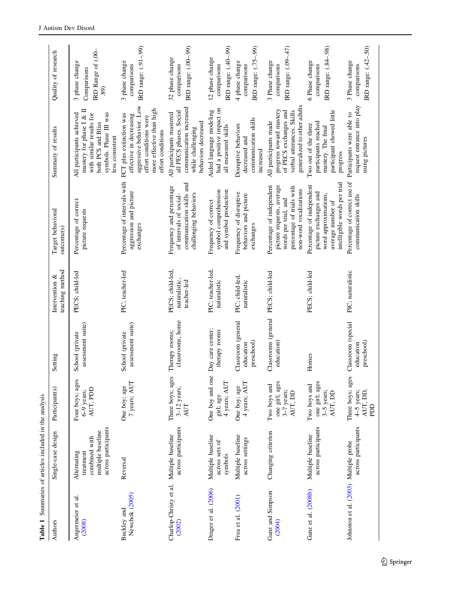<span id="page-4-0"></span>

| Table 1 Summaries of articles included in the analysis |                                                                                       |                                                           |                                                  |                                                  |                                                                                                                                       |                                                                                                                                                           |                                                             |
|--------------------------------------------------------|---------------------------------------------------------------------------------------|-----------------------------------------------------------|--------------------------------------------------|--------------------------------------------------|---------------------------------------------------------------------------------------------------------------------------------------|-----------------------------------------------------------------------------------------------------------------------------------------------------------|-------------------------------------------------------------|
| Authors                                                | Single-case design                                                                    | Participant(s)                                            | Setting                                          | teaching method<br>Intervention &                | Target behavioral<br>outcome(s)                                                                                                       | Summary of results                                                                                                                                        | Quality of research                                         |
| Angermeier et al.<br>(2008)                            | across participants<br>multiple baseline<br>combined with<br>Alternating<br>treatment | Four boys; ages<br>AUT, PDD<br>$6-9$ years;               | assessment suite)<br>School (private             | PECS; child-led                                  | Percentage of correct<br>picture requests                                                                                             | mastery for phase I & II<br>All participants achieved<br>symbols. Phase III was<br>with similar results for<br>both PCS and Bliss<br>less consistent      | IRD Range of (.00-<br>3 phase change<br>Comparisons<br>(68) |
| Newchok (2005)<br>Buckley and                          | Reversal                                                                              | 7 years; AUT<br>One boy; age                              | assessment suite)<br>School (private             | PIC; teacher-led                                 | Percentage of intervals with<br>aggression and picture<br>exchanges                                                                   | aggressive behavior. Low<br>more effective than high<br>FCT plus extinction was<br>effective in decreasing<br>effort conditions were<br>effort conditions | IRD range: (.91-.99)<br>3 phase change<br>comparisons       |
| Charlop-Christy et al. Multiple baseline<br>(2002)     | across participants                                                                   | Three boys; ages<br>$3-12$ years;<br><b>AUT</b>           | classrooms; home<br>Therapy rooms;               | PECS; child-led,<br>naturalistic,<br>teacher-led | communication skills and<br>Frequency and percentage<br>challenging behaviors<br>of intervals of social-                              | communication increased<br>all PECS phases. Social<br>All participants mastered<br>behaviors decreased<br>while challenging                               | IRD range: (.00-.99)<br>32 phase change<br>comparisons      |
| Drager et al. (2006)                                   | Multiple baseline<br>across sets of<br>symbols                                        | One boy and one<br>4 years; AU7<br>girl; age              | Day care center;<br>therapy rooms                | PIC; teacher-led,<br>naturalistic                | symbol comprehension<br>and symbol production<br>Frequency of correct                                                                 | had a positive impact on<br>Aided language modeling<br>all measured skills                                                                                | IRD range: (.40-.99)<br>12 phase change<br>comparisons      |
| Frea et al. (2001)                                     | Multiple baseline<br>across settings                                                  | 4 years; AUT<br>One boy; age                              | Classroom (general<br>preschool)<br>education    | PIC; child-led,<br>naturalistic                  | Frequency of disruptive<br>behaviors and picture<br>exchanges                                                                         | communication skills<br>Disruptive behaviors<br>decreased and<br>increased                                                                                | IRD range: (.75-.99)<br>4 phase change<br>comparisons       |
| Ganz and Simpson<br>(2004)                             | Changing criterion                                                                    | Two boys and<br>one girl; ages<br>$3-7$ years;<br>AUT, DD | Classrooms (general PECS; child-led<br>education |                                                  | Percentage of independent<br>picture requests, average<br>percentage of trials with<br>non-word vocalizations<br>words per trial, and | generalized to other adults<br>progress toward mastery<br>verbal utterances. Skills<br>of PECS exchanges and<br>All participants made                     | IRD range: (.09-.47)<br>3 Phase change<br>comparisons       |
| Ganz et al. (2008b)                                    | across participants<br>Multiple baseline                                              | one girl; ages<br>Two boys and<br>3-5 years;<br>AUT, DD   | Homes                                            | PECS; child-led                                  | intelligible words per trial<br>Percentage of independent<br>picture exchanges and<br>word approximations,<br>average number of       | participant showed little<br>participants reached<br>Two out of the three<br>mastery. The final<br>progress                                               | IRD range: (.84-.98)<br>6 Phase change<br>comparisons       |
| Johnston et al. (2003) Multiple probe                  | across participants                                                                   | Three boys; ages<br>AUT, DD,<br>4-5 years;<br>PDD         | Classroom (special<br>preschool)<br>education    | PIC; naturalistic                                | Percentage of correct use of<br>communication skills                                                                                  | request entrance into play<br>Participants were able to<br>using pictures                                                                                 | RD range: (.42-.50)<br>3 Phase change<br>comparisons        |
|                                                        |                                                                                       |                                                           |                                                  |                                                  |                                                                                                                                       |                                                                                                                                                           |                                                             |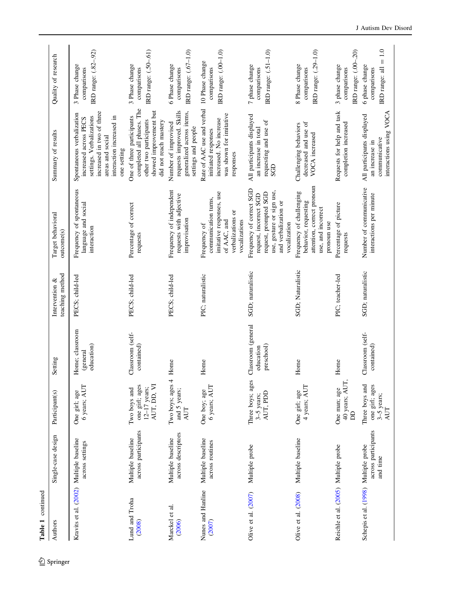| Table 1 continued                       |                                          |                                                                 |                                               |                                   |                                                                                                                                                  |                                                                                                                                                                            |                                                        |
|-----------------------------------------|------------------------------------------|-----------------------------------------------------------------|-----------------------------------------------|-----------------------------------|--------------------------------------------------------------------------------------------------------------------------------------------------|----------------------------------------------------------------------------------------------------------------------------------------------------------------------------|--------------------------------------------------------|
| Authors                                 | Single-case design                       | Participant(s)                                                  | Setting                                       | teaching method<br>Intervention & | Target behavioral<br>outcome(s)                                                                                                                  | Summary of results                                                                                                                                                         | Quality of research                                    |
| Kravits et al. (2002) Multiple baseline | across settings                          | 6 years; AUT<br>One girl; age                                   | Home; classroom<br>education)<br>(general     | PECS; child-led                   | Frequency of spontaneous<br>language and social<br>interaction                                                                                   | increased in two of three<br>Spontaneous verbalization<br>settings. Verbalizations<br>interaction increased in<br>increased across PECS<br>areas and social<br>one setting | IRD range: (.82-.92)<br>3 Phase change<br>comparisons  |
| Lund and Troha<br>(2008)                | across participants<br>Multiple baseline | one girl; ages<br>AUT, DD, VI<br>$12-17$ years;<br>Two boys and | Classroom (self-<br>contained)                | PECS; child-led                   | Percentage of correct<br>requests                                                                                                                | completed all phases. The<br>showed improvement but<br>One of three participants<br>other two participants<br>did not reach mastery                                        | IRD range: (.50-.61)<br>3 Phase change<br>comparisons  |
| Marckel et al.<br>(2006)                | across descriptors<br>Multiple baseline  | 4<br>Two boys; ages<br>and 5 years;<br>$\mathsf{A}\mathsf{UT}$  | Home                                          | PECS; child-led                   | Frequency of independent<br>requests with adjective<br>improvisation                                                                             | requests improved. Skills<br>generalized across items,<br>Number of improvised<br>settings and people                                                                      | IRD range: (.67-1.0)<br>6 Phase change<br>comparisons  |
| Nunes and Hanline<br>(2007)             | Multiple baseline<br>across routines     | 6 years; AUT<br>One boy; age                                    | Home                                          | PIC; naturalistic                 | imitative responses, use<br>communication turns,<br>verbalizations or<br>vocalizations<br>of AAC, and<br>Frequency of                            | Rate of AAC use and verbal<br>was shown for imitative<br>increased. No increase<br>initiated responses<br>responses                                                        | IRD range: (.00-1.0)<br>10 Phase change<br>comparisons |
| Olive et al. (2007)                     | Multiple probe                           | Three boys; ages<br>AUT, PDD<br>3-5 years;                      | Classroom (general<br>preschool)<br>education | SGD; naturalistic                 | Frequency of correct SGD<br>use, gesture or sign use,<br>request, prompted SGD<br>request, incorrect SGD<br>and verbalization or<br>vocalization | All participants displayed<br>requesting and use of<br>an increase in total<br><b>GD</b>                                                                                   | IRD range: (.51-1.0)<br>7 phase change<br>comparisons  |
| Olive et al. (2008)                     | Multiple baseline                        | 4 years; AUT<br>One girl; age                                   | Home                                          | SGD; Naturalistic                 | attention, correct pronoun<br>Frequency of challenging<br>behavior, requesting<br>use, and incorrect<br>pronoun use                              | decreased and use of<br>Challenging behaviors<br>VOCA increased                                                                                                            | IRD range: (.29-1.0)<br>8 Phase change<br>comparisons  |
| Reichle et al. (2005) Multiple probe    |                                          | 40 years; AUT,<br>One man; age<br><b>BD</b>                     | Home                                          | PIC; teacher-led                  | Percentage of picture<br>requests                                                                                                                | Requests for help and task<br>completion increased                                                                                                                         | RD range: (.00-.20)<br>3 phase change<br>comparisons   |
| Schepis et al. (1998) Multiple probe    | across participants<br>and time          | one girl; ages<br>3–5 years;<br>Three boys and<br>AUT           | Classroom (self-<br>contained                 | SGD; naturalistic                 | Number of communicative<br>interactions per minute                                                                                               | interactions using VOCA<br>All participants displayed<br>communicative<br>an increase in                                                                                   | RD range: $all = 1.0$<br>6 phase change<br>comparisons |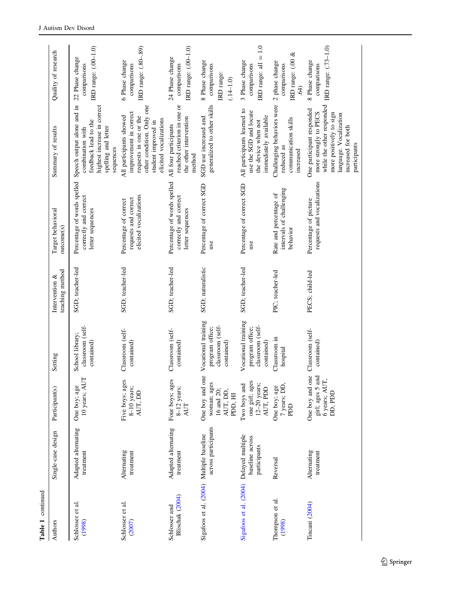| Table 1 continued                        |                                  |                                                                     |                                                                          |                                   |                                                                          |                                                                                                                                                                            |                                                                  |
|------------------------------------------|----------------------------------|---------------------------------------------------------------------|--------------------------------------------------------------------------|-----------------------------------|--------------------------------------------------------------------------|----------------------------------------------------------------------------------------------------------------------------------------------------------------------------|------------------------------------------------------------------|
| Authors                                  | Single-case design               | Participant(s)                                                      | Setting                                                                  | teaching method<br>Intervention & | Target behavioral<br>outcome(s)                                          | Summary of results                                                                                                                                                         | Quality of research                                              |
| Schlosser et al.<br>(1998)               | Adapted alternating<br>treatment | 10 years; AUT<br>One boy; age                                       | classroom (self-<br>School library;<br>contained)                        | SGD; teacher-led                  | Percentage of words spelled<br>correctly and correct<br>letter sequences | Speech output alone and in<br>highest increase in correct<br>feedback lead to the<br>spelling and letter<br>combination with<br>sequences                                  | IRD range: (.00-1.0)<br>22 Phase change<br>comparisons           |
| Schlosser et al.<br>(2007)               | Alternating<br>treatment         | Five boys; ages<br>$8-10$ years;<br>AUT, DD                         | Classroom (self-<br>contained)                                           | SGD; teacher-led                  | elicited vocalizations<br>requests and correct<br>Percentage of correct  | other condition. Only one<br>improvement in correct<br>All participants showed<br>requests in one or the<br>elicited vocalizations<br>student improved in                  | IRD range: (.80-.89)<br>6 Phase change<br>comparisons            |
| Blischak (2004)<br>Schlosser and         | Adapted alternating<br>treatment | Four boys; ages<br>$8-12$ years;<br>AUT                             | Classroom (self-<br>contained)                                           | SGD; teacher-led                  | Percentage of words spelled<br>correctly and correct<br>letter sequences | reached criterion in one or<br>the other intervention<br>All four participants<br>method                                                                                   | IRD range: (.00-1.0)<br>24 Phase change<br>comparisons           |
| Sigafoos et al. (2004) Multiple baseline | across participants              | One boy and one<br>woman; ages<br>16 and 20;<br>AUT, DD,<br>PDD, HI | Vocational training<br>classroom (self-<br>program office;<br>contained) | SGD; naturalistic                 | Percentage of correct SGD<br>use                                         | generalized to other skills<br>SGD use increased and                                                                                                                       | 8 Phase change<br>comparisons<br>RD range:<br>$(.14-1.0)$        |
| Sigafoos et al. (2004) Delayed multiple  | baseline across<br>participants  | one girl; ages<br>Two boys and<br>$12-20$ years;<br>AUT, PDD        | Vocational training<br>classroom (self-<br>program office;<br>contained) | SGD; teacher-led                  | Percentage of correct SGD<br>use                                         | All participants learned to<br>use the SGD and locate<br>immediately available<br>the device when not                                                                      | $= 1.0$<br>3 Phase change<br>IRD range: all<br>comparisons       |
| Thompson et al.<br>(1998)                | Reversal                         | 7 years; DD,<br>One boy; age<br>PDD                                 | Classroom in<br>hospital                                                 | PIC; teacher-led                  | intervals of challenging<br>Rate and percentage of<br>behavior           | Challenging behaviors were<br>communication skills<br>reduced as<br>increased                                                                                              | IRD range: (.00 &<br>2 phase change<br>comparisons<br>$\ddot{6}$ |
| Tincani (2004)                           | Alternating<br>treatment         | One boy and one<br>girl; ages 5 and<br>6 years; AUT,<br>DD, PDD     | Classroom (self-<br>contained)                                           | PECS; child-led                   | requests and vocalizations<br>Percentage of picture                      | while the other responded<br>One participant responded<br>more strongly to PECS<br>more positively to sign<br>language. Vocalization<br>increased for both<br>participants | IRD range: (.73-1.0)<br>8 Phase change<br>comparisons            |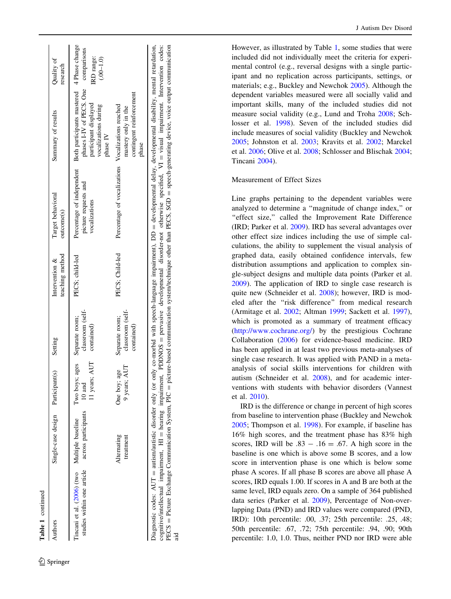| Table 1 continued                                                          |                                   |                                 |                                                  |                                      |                                                   |                                                                                                                                                                                                                                                                                                                                                                                                                                                                                              |                           |
|----------------------------------------------------------------------------|-----------------------------------|---------------------------------|--------------------------------------------------|--------------------------------------|---------------------------------------------------|----------------------------------------------------------------------------------------------------------------------------------------------------------------------------------------------------------------------------------------------------------------------------------------------------------------------------------------------------------------------------------------------------------------------------------------------------------------------------------------------|---------------------------|
| Authors                                                                    | Single-case design Participant(s) |                                 | Setting                                          | teaching method<br>Intervention $\&$ | Target behavioral<br>outcome(s)                   | Summary of results                                                                                                                                                                                                                                                                                                                                                                                                                                                                           | Quality of<br>research    |
| Tincani et al. (2006) (two Multiple baseline<br>studies within one article | across participants 10 and        | Two boys; ages<br>11 years; AUT | classroom (self-<br>Separate room;<br>contained) | PECS; child-led                      | picture requests and<br>vocalizations             | Percentage of independent Both participants mastered 4 Phase change<br>phases I-IV of PECS. One comparisons<br>participant displayed<br>vocalizations during<br>phase IV                                                                                                                                                                                                                                                                                                                     | IRD range:<br>$(.00-1.0)$ |
|                                                                            | Alternating<br>treatment          | 9 years; AUT<br>One boy; age    | classroom (self-<br>Separate room;<br>contained) | PECS; Child-led                      | Percentage of vocalizations Vocalizations reached | contingent reinforcement<br>mastery only in the<br>phase                                                                                                                                                                                                                                                                                                                                                                                                                                     |                           |
| PECS = Picture Exchange Communication System, PIC $=$<br>:ਰ<br>ਕ           |                                   |                                 |                                                  |                                      |                                                   | picture-based communication system/technique other than PECS, SGD = speech-generating device, voice output communication<br>cognitive/intellectual impairment, HI = hearing impairment, PDDNOS = pervasive developmental disorder-not otherwise specified, VI = visual impairment. Intervention codes:<br>Diagnostic codes: AUT = autism/autistic disorder only (or only co-morbid with speech-language impairment), DD = developmental delay, developmental disability, mental retardation, |                           |

J Autism Dev Disord

However, as illustrated by Table [1,](#page-4-0) some studies that were included did not individually meet the criteria for experimental control (e.g., reversal designs with a single participant and no replication across participants, settings, or materials; e.g., Buckley and Newchok [2005\)](#page-12-0). Although the dependent variables measured were all socially valid and important skills, many of the included studies did not measure social validity (e.g., Lund and Troha [2008](#page-12-0); Schlosser et al. [1998\)](#page-13-0). Seven of the included studies did include measures of social validity (Buckley and Newchok [2005](#page-12-0); Johnston et al. [2003;](#page-12-0) Kravits et al. [2002;](#page-12-0) Marckel et al. [2006](#page-12-0); Olive et al. [2008;](#page-13-0) Schlosser and Blischak [2004](#page-13-0) ; Tincani [2004](#page-14-0)).

# Measurement of Effect Sizes

Line graphs pertaining to the dependent variables were analyzed to determine a ''magnitude of change index,'' or ''effect size,'' called the Improvement Rate Difference (IRD; Parker et al. [2009\)](#page-13-0). IRD has several advantages over other effect size indices including the use of simple calculations, the ability to supplement the visual analysis of graphed data, easily obtained confidence intervals, few distribution assumptions and application to complex single-subject designs and multiple data points (Parker et al. [2009](#page-13-0)). The application of IRD to single case research is quite new (Schneider et al. [2008\)](#page-13-0); however, IRD is modeled after the ''risk difference'' from medical research (Armitage et al. [2002;](#page-12-0) Altman [1999;](#page-12-0) Sackett et al. [1997](#page-13-0)), which is promoted as a summary of treatment efficacy [\(http://www.cochrane.org/](http://www.cochrane.org/)) by the prestigious Cochrane Collaboration ([2006\)](#page-12-0) for evidence-based medicine. IRD has been applied in at least two previous meta-analyses of single case research. It was applied with PAND in a metaanalysis of social skills interventions for children with autism (Schneider et al. [2008\)](#page-13-0), and for academic interventions with students with behavior disorders (Vannest et al. [2010\)](#page-14-0).

IRD is the difference or change in percent of high scores from baseline to intervention phase (Buckley and Newchok [2005](#page-12-0); Thompson et al. [1998\)](#page-14-0). For example, if baseline has 16% high scores, and the treatment phase has 83% high scores, IRD will be  $.83 - .16 = .67$ . A high score in the baseline is one which is above some B scores, and a low score in intervention phase is one which is below some phase A scores. If all phase B scores are above all phase A scores, IRD equals 1.00. If scores in A and B are both at the same level, IRD equals zero. On a sample of 364 published data series (Parker et al. [2009](#page-13-0)), Percentage of Non-overlapping Data (PND) and IRD values were compared (PND, IRD): 10th percentile: .00, .37; 25th percentile: .25, .48; 50th percentile: .67, .72; 75th percentile: .94, .90; 90th percentile: 1.0, 1.0. Thus, neither PND nor IRD were able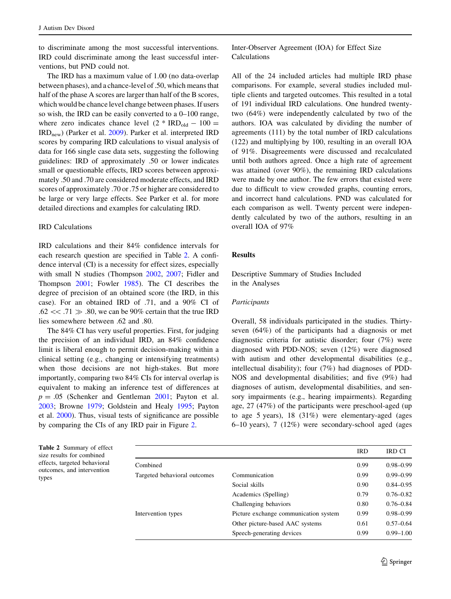to discriminate among the most successful interventions. IRD could discriminate among the least successful interventions, but PND could not.

The IRD has a maximum value of 1.00 (no data-overlap between phases), and a chance-level of .50, which means that half of the phase A scores are larger than half of the B scores, which would be chance level change between phases. If users so wish, the IRD can be easily converted to a 0–100 range, where zero indicates chance level  $(2 * IRD<sub>old</sub> - 100 =$ IRDnew) (Parker et al. [2009](#page-13-0)). Parker et al. interpreted IRD scores by comparing IRD calculations to visual analysis of data for 166 single case data sets, suggesting the following guidelines: IRD of approximately .50 or lower indicates small or questionable effects, IRD scores between approximately .50 and .70 are considered moderate effects, and IRD scores of approximately .70 or .75 or higher are considered to be large or very large effects. See Parker et al. for more detailed directions and examples for calculating IRD.

## IRD Calculations

IRD calculations and their 84% confidence intervals for each research question are specified in Table 2. A confidence interval (CI) is a necessity for effect sizes, especially with small N studies (Thompson [2002,](#page-14-0) [2007](#page-14-0); Fidler and Thompson [2001;](#page-12-0) Fowler [1985](#page-12-0)). The CI describes the degree of precision of an obtained score (the IRD, in this case). For an obtained IRD of .71, and a 90% CI of  $.62 \ll .71 \gg .80$ , we can be 90% certain that the true IRD lies somewhere between .62 and .80.

The 84% CI has very useful properties. First, for judging the precision of an individual IRD, an 84% confidence limit is liberal enough to permit decision-making within a clinical setting (e.g., changing or intensifying treatments) when those decisions are not high-stakes. But more importantly, comparing two 84% CIs for interval overlap is equivalent to making an inference test of differences at  $p = .05$  (Schenker and Gentleman [2001;](#page-13-0) Payton et al. [2003;](#page-13-0) Browne [1979;](#page-12-0) Goldstein and Healy [1995;](#page-12-0) Payton et al. [2000\)](#page-13-0). Thus, visual tests of significance are possible by comparing the CIs of any IRD pair in Figure [2.](#page-10-0)

Inter-Observer Agreement (IOA) for Effect Size Calculations

All of the 24 included articles had multiple IRD phase comparisons. For example, several studies included multiple clients and targeted outcomes. This resulted in a total of 191 individual IRD calculations. One hundred twentytwo (64%) were independently calculated by two of the authors. IOA was calculated by dividing the number of agreements (111) by the total number of IRD calculations (122) and multiplying by 100, resulting in an overall IOA of 91%. Disagreements were discussed and recalculated until both authors agreed. Once a high rate of agreement was attained (over 90%), the remaining IRD calculations were made by one author. The few errors that existed were due to difficult to view crowded graphs, counting errors, and incorrect hand calculations. PND was calculated for each comparison as well. Twenty percent were independently calculated by two of the authors, resulting in an overall IOA of 97%

# **Results**

Descriptive Summary of Studies Included in the Analyses

#### Participants

Overall, 58 individuals participated in the studies. Thirtyseven (64%) of the participants had a diagnosis or met diagnostic criteria for autistic disorder; four (7%) were diagnosed with PDD-NOS; seven (12%) were diagnosed with autism and other developmental disabilities (e.g., intellectual disability); four (7%) had diagnoses of PDD-NOS and developmental disabilities; and five (9%) had diagnoses of autism, developmental disabilities, and sensory impairments (e.g., hearing impairments). Regarding age, 27 (47%) of the participants were preschool-aged (up to age 5 years), 18 (31%) were elementary-aged (ages 6–10 years), 7 (12%) were secondary-school aged (ages

Table 2 Summary of effect size results for combined effects, targeted behavioral outcomes, and intervention types

| Combined                     |                                       | 0.99 | $0.98 - 0.99$ |
|------------------------------|---------------------------------------|------|---------------|
| Targeted behavioral outcomes | Communication                         | 0.99 | $0.99 - 0.99$ |
|                              | Social skills                         | 0.90 | $0.84 - 0.95$ |
|                              | Academics (Spelling)                  | 0.79 | $0.76 - 0.82$ |
|                              | Challenging behaviors                 | 0.80 | $0.76 - 0.84$ |
| Intervention types           | Picture exchange communication system | 0.99 | $0.98 - 0.99$ |
|                              | Other picture-based AAC systems       | 0.61 | $0.57 - 0.64$ |
|                              | Speech-generating devices             | 0.99 | $0.99 - 1.00$ |

IRD IRD CI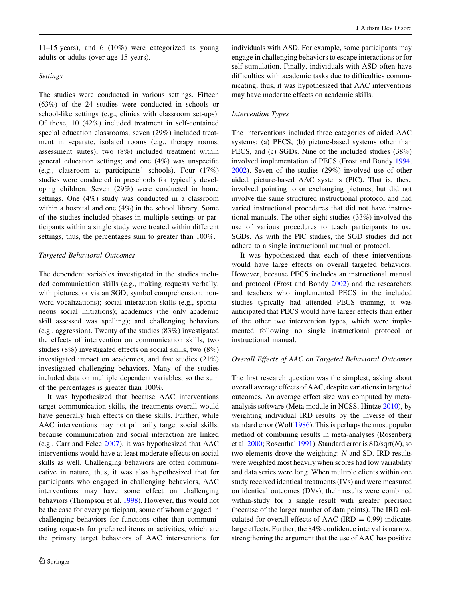11–15 years), and 6 (10%) were categorized as young adults or adults (over age 15 years).

# Settings

The studies were conducted in various settings. Fifteen (63%) of the 24 studies were conducted in schools or school-like settings (e.g., clinics with classroom set-ups). Of those, 10 (42%) included treatment in self-contained special education classrooms; seven (29%) included treatment in separate, isolated rooms (e.g., therapy rooms, assessment suites); two (8%) included treatment within general education settings; and one (4%) was unspecific (e.g., classroom at participants' schools). Four (17%) studies were conducted in preschools for typically developing children. Seven (29%) were conducted in home settings. One (4%) study was conducted in a classroom within a hospital and one (4%) in the school library. Some of the studies included phases in multiple settings or participants within a single study were treated within different settings, thus, the percentages sum to greater than 100%.

# Targeted Behavioral Outcomes

The dependent variables investigated in the studies included communication skills (e.g., making requests verbally, with pictures, or via an SGD; symbol comprehension; nonword vocalizations); social interaction skills (e.g., spontaneous social initiations); academics (the only academic skill assessed was spelling); and challenging behaviors (e.g., aggression). Twenty of the studies (83%) investigated the effects of intervention on communication skills, two studies (8%) investigated effects on social skills, two (8%) investigated impact on academics, and five studies (21%) investigated challenging behaviors. Many of the studies included data on multiple dependent variables, so the sum of the percentages is greater than 100%.

It was hypothesized that because AAC interventions target communication skills, the treatments overall would have generally high effects on these skills. Further, while AAC interventions may not primarily target social skills, because communication and social interaction are linked (e.g., Carr and Felce [2007\)](#page-12-0), it was hypothesized that AAC interventions would have at least moderate effects on social skills as well. Challenging behaviors are often communicative in nature, thus, it was also hypothesized that for participants who engaged in challenging behaviors, AAC interventions may have some effect on challenging behaviors (Thompson et al. [1998](#page-14-0)). However, this would not be the case for every participant, some of whom engaged in challenging behaviors for functions other than communicating requests for preferred items or activities, which are the primary target behaviors of AAC interventions for individuals with ASD. For example, some participants may engage in challenging behaviors to escape interactions or for self-stimulation. Finally, individuals with ASD often have difficulties with academic tasks due to difficulties communicating, thus, it was hypothesized that AAC interventions may have moderate effects on academic skills.

# Intervention Types

The interventions included three categories of aided AAC systems: (a) PECS, (b) picture-based systems other than PECS, and (c) SGDs. Nine of the included studies (38%) involved implementation of PECS (Frost and Bondy [1994,](#page-12-0) [2002](#page-12-0)). Seven of the studies (29%) involved use of other aided, picture-based AAC systems (PIC). That is, these involved pointing to or exchanging pictures, but did not involve the same structured instructional protocol and had varied instructional procedures that did not have instructional manuals. The other eight studies (33%) involved the use of various procedures to teach participants to use SGDs. As with the PIC studies, the SGD studies did not adhere to a single instructional manual or protocol.

It was hypothesized that each of these interventions would have large effects on overall targeted behaviors. However, because PECS includes an instructional manual and protocol (Frost and Bondy [2002\)](#page-12-0) and the researchers and teachers who implemented PECS in the included studies typically had attended PECS training, it was anticipated that PECS would have larger effects than either of the other two intervention types, which were implemented following no single instructional protocol or instructional manual.

## Overall Effects of AAC on Targeted Behavioral Outcomes

The first research question was the simplest, asking about overall average effects of AAC, despite variations in targeted outcomes. An average effect size was computed by metaanalysis software (Meta module in NCSS, Hintze [2010\)](#page-12-0), by weighting individual IRD results by the inverse of their standard error (Wolf [1986](#page-14-0)). This is perhaps the most popular method of combining results in meta-analyses (Rosenberg et al.  $2000$ ; Rosenthal [1991\)](#page-13-0). Standard error is SD/sqrt(N), so two elements drove the weighting: N and SD. IRD results were weighted most heavily when scores had low variability and data series were long. When multiple clients within one study received identical treatments (IVs) and were measured on identical outcomes (DVs), their results were combined within-study for a single result with greater precision (because of the larger number of data points). The IRD calculated for overall effects of AAC (IRD =  $0.99$ ) indicates large effects. Further, the 84% confidence interval is narrow, strengthening the argument that the use of AAC has positive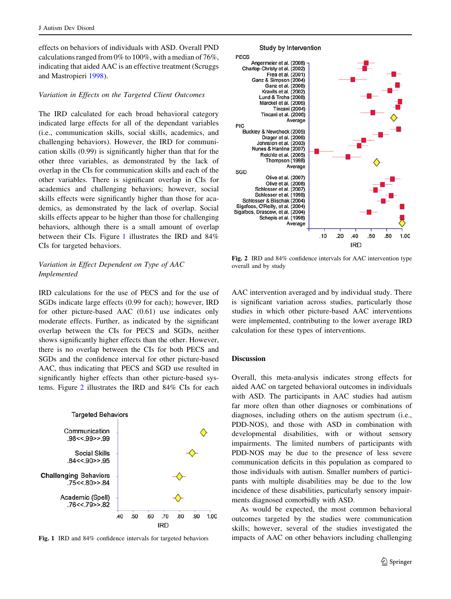<span id="page-10-0"></span>effects on behaviors of individuals with ASD. Overall PND calculations ranged from 0% to 100%, with a median of 76%, indicating that aided AAC is an effective treatment (Scruggs and Mastropieri [1998](#page-13-0)).

### Variation in Effects on the Targeted Client Outcomes

The IRD calculated for each broad behavioral category indicated large effects for all of the dependant variables (i.e., communication skills, social skills, academics, and challenging behaviors). However, the IRD for communication skills (0.99) is significantly higher than that for the other three variables, as demonstrated by the lack of overlap in the CIs for communication skills and each of the other variables. There is significant overlap in CIs for academics and challenging behaviors; however, social skills effects were significantly higher than those for academics, as demonstrated by the lack of overlap. Social skills effects appear to be higher than those for challenging behaviors, although there is a small amount of overlap between their CIs. Figure 1 illustrates the IRD and 84% CIs for targeted behaviors.

# Variation in Effect Dependent on Type of AAC Implemented

IRD calculations for the use of PECS and for the use of SGDs indicate large effects (0.99 for each); however, IRD for other picture-based AAC (0.61) use indicates only moderate effects. Further, as indicated by the significant overlap between the CIs for PECS and SGDs, neither shows significantly higher effects than the other. However, there is no overlap between the CIs for both PECS and SGDs and the confidence interval for other picture-based AAC, thus indicating that PECS and SGD use resulted in significantly higher effects than other picture-based systems. Figure 2 illustrates the IRD and 84% CIs for each





Fig. 2 IRD and 84% confidence intervals for AAC intervention type overall and by study

AAC intervention averaged and by individual study. There is significant variation across studies, particularly those studies in which other picture-based AAC interventions were implemented, contributing to the lower average IRD calculation for these types of interventions.

## Discussion

Overall, this meta-analysis indicates strong effects for aided AAC on targeted behavioral outcomes in individuals with ASD. The participants in AAC studies had autism far more often than other diagnoses or combinations of diagnoses, including others on the autism spectrum (i.e., PDD-NOS), and those with ASD in combination with developmental disabilities, with or without sensory impairments. The limited numbers of participants with PDD-NOS may be due to the presence of less severe communication deficits in this population as compared to those individuals with autism. Smaller numbers of participants with multiple disabilities may be due to the low incidence of these disabilities, particularly sensory impairments diagnosed comorbidly with ASD.

As would be expected, the most common behavioral outcomes targeted by the studies were communication skills; however, several of the studies investigated the Fig. 1 IRD and 84% confidence intervals for targeted behaviors impacts of AAC on other behaviors including challenging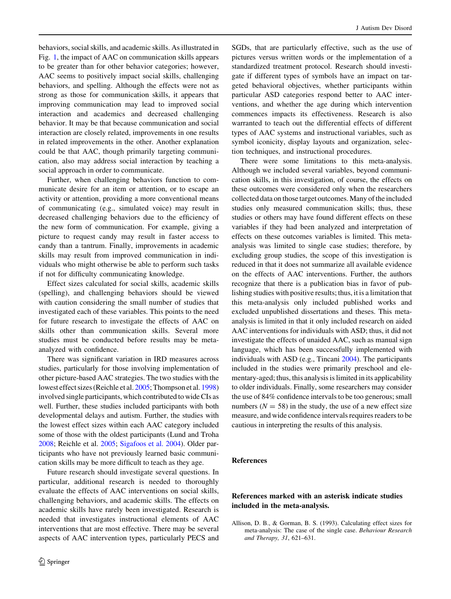<span id="page-11-0"></span>behaviors, social skills, and academic skills. As illustrated in Fig. [1](#page-10-0), the impact of AAC on communication skills appears to be greater than for other behavior categories; however, AAC seems to positively impact social skills, challenging behaviors, and spelling. Although the effects were not as strong as those for communication skills, it appears that improving communication may lead to improved social interaction and academics and decreased challenging behavior. It may be that because communication and social interaction are closely related, improvements in one results in related improvements in the other. Another explanation could be that AAC, though primarily targeting communication, also may address social interaction by teaching a social approach in order to communicate.

Further, when challenging behaviors function to communicate desire for an item or attention, or to escape an activity or attention, providing a more conventional means of communicating (e.g., simulated voice) may result in decreased challenging behaviors due to the efficiency of the new form of communication. For example, giving a picture to request candy may result in faster access to candy than a tantrum. Finally, improvements in academic skills may result from improved communication in individuals who might otherwise be able to perform such tasks if not for difficulty communicating knowledge.

Effect sizes calculated for social skills, academic skills (spelling), and challenging behaviors should be viewed with caution considering the small number of studies that investigated each of these variables. This points to the need for future research to investigate the effects of AAC on skills other than communication skills. Several more studies must be conducted before results may be metaanalyzed with confidence.

There was significant variation in IRD measures across studies, particularly for those involving implementation of other picture-based AAC strategies. The two studies with the lowest effect sizes (Reichle et al. [2005;](#page-13-0) Thompson et al. [1998\)](#page-14-0) involved single participants, which contributed to wide CIs as well. Further, these studies included participants with both developmental delays and autism. Further, the studies with the lowest effect sizes within each AAC category included some of those with the oldest participants (Lund and Troha [2008;](#page-12-0) Reichle et al. [2005;](#page-13-0) [Sigafoos et al. 2004\)](#page-13-0). Older participants who have not previously learned basic communication skills may be more difficult to teach as they age.

Future research should investigate several questions. In particular, additional research is needed to thoroughly evaluate the effects of AAC interventions on social skills, challenging behaviors, and academic skills. The effects on academic skills have rarely been investigated. Research is needed that investigates instructional elements of AAC interventions that are most effective. There may be several aspects of AAC intervention types, particularly PECS and SGDs, that are particularly effective, such as the use of pictures versus written words or the implementation of a standardized treatment protocol. Research should investigate if different types of symbols have an impact on targeted behavioral objectives, whether participants within particular ASD categories respond better to AAC interventions, and whether the age during which intervention commences impacts its effectiveness. Research is also warranted to teach out the differential effects of different types of AAC systems and instructional variables, such as symbol iconicity, display layouts and organization, selection techniques, and instructional procedures.

There were some limitations to this meta-analysis. Although we included several variables, beyond communication skills, in this investigation, of course, the effects on these outcomes were considered only when the researchers collected data on those target outcomes. Many of the included studies only measured communication skills; thus, these studies or others may have found different effects on these variables if they had been analyzed and interpretation of effects on these outcomes variables is limited. This metaanalysis was limited to single case studies; therefore, by excluding group studies, the scope of this investigation is reduced in that it does not summarize all available evidence on the effects of AAC interventions. Further, the authors recognize that there is a publication bias in favor of publishing studies with positive results; thus, it is a limitation that this meta-analysis only included published works and excluded unpublished dissertations and theses. This metaanalysis is limited in that it only included research on aided AAC interventions for individuals with ASD; thus, it did not investigate the effects of unaided AAC, such as manual sign language, which has been successfully implemented with individuals with ASD (e.g., Tincani [2004](#page-14-0)). The participants included in the studies were primarily preschool and elementary-aged; thus, this analysis is limited in its applicability to older individuals. Finally, some researchers may consider the use of 84% confidence intervals to be too generous; small numbers ( $N = 58$ ) in the study, the use of a new effect size measure, and wide confidence intervals requires readers to be cautious in interpreting the results of this analysis.

#### References

# References marked with an asterisk indicate studies included in the meta-analysis.

Allison, D. B., & Gorman, B. S. (1993). Calculating effect sizes for meta-analysis: The case of the single case. Behaviour Research and Therapy, 31, 621–631.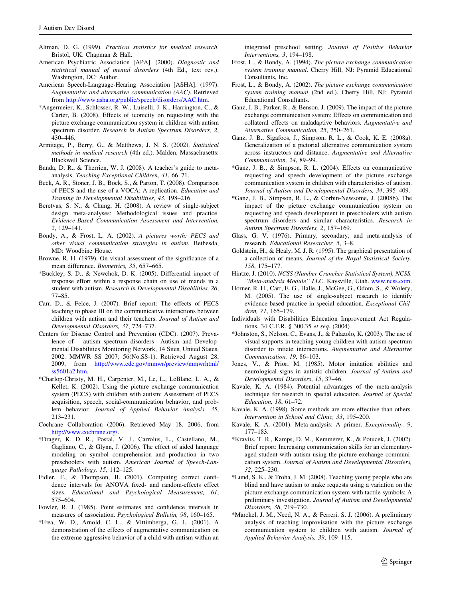- <span id="page-12-0"></span>Altman, D. G. (1999). Practical statistics for medical research. Bristol, UK: Chapman & Hall.
- American Psychiatric Association [APA]. (2000). Diagnostic and statistical manual of mental disorders (4th Ed., text rev.). Washington, DC: Author.
- American Speech-Language-Hearing Association [ASHA]. (1997). Augmentative and alternative communication (AAC). Retrieved from [http://www.asha.org/public/speech/disorders/AAC.htm.](http://www.asha.org/public/speech/disorders/AAC.htm)
- \*Angermeier, K., Schlosser, R. W., Luiselli, J. K., Harrington, C., & Carter, B. (2008). Effects of iconicity on requesting with the picture exchange communication system in children with autism spectrum disorder. Research in Autism Spectrum Disorders, 2, 430–446.
- Armitage, P., Berry, G., & Matthews, J. N. S. (2002). Statistical methods in medical research (4th ed.). Malden, Massachusetts: Blackwell Science.
- Banda, D. R., & Therrien, W. J. (2008). A teacher's guide to metaanalysis. Teaching Exceptional Children, 41, 66–71.
- Beck, A. R., Stoner, J. B., Bock, S., & Parton, T. (2008). Comparison of PECS and the use of a VOCA: A replication. Education and Training in Developmental Disabilities, 43, 198–216.
- Beretvas, S. N., & Chung, H. (2008). A review of single-subject design meta-analyses: Methodological issues and practice. Evidence-Based Communication Assessment and Intervention, 2, 129–141.
- Bondy, A., & Frost, L. A. (2002). A pictures worth: PECS and other visual communication strategies in autism. Bethesda, MD: Woodbine House.
- Browne, R. H. (1979). On visual assessment of the significance of a mean difference. Biometrics, 35, 657–665.
- \*Buckley, S. D., & Newchok, D. K. (2005). Differential impact of response effort within a response chain on use of mands in a student with autism. Research in Developmental Disabilities, 26, 77–85.
- Carr, D., & Felce, J. (2007). Brief report: The effects of PECS teaching to phase III on the communicative interactions between children with autism and their teachers. Journal of Autism and Developmental Disorders, 37, 724–737.
- Centers for Disease Control and Prevention (CDC). (2007). Prevalence of —autism spectrum disorders—Autism and Developmental Disabilities Monitoring Network, 14 Sites, United States, 2002. MMWR SS 2007; 56(No.SS-1). Retrieved August 28, 2009, from [http://www.cdc.gov/mmwr/preview/mmwrhtml/](http://www.cdc.gov/mmwr/preview/mmwrhtml/ss5601a2.htm) [ss5601a2.htm.](http://www.cdc.gov/mmwr/preview/mmwrhtml/ss5601a2.htm)
- \*Charlop-Christy, M. H., Carpenter, M., Le, L., LeBlanc, L. A., & Kellet, K. (2002). Using the picture exchange communication system (PECS) with children with autism: Assessment of PECS acquisition, speech, social-communication behavior, and problem behavior. Journal of Applied Behavior Analysis, 35, 213–231.
- Cochrane Collaboration (2006). Retrieved May 18, 2006, from <http://www.cochrane.org/>.
- \*Drager, K. D. R., Postal, V. J., Carrolus, L., Castellano, M., Gagliano, C., & Glynn, J. (2006). The effect of aided language modeling on symbol comprehension and production in two preschoolers with autism. American Journal of Speech-Language Pathology, 15, 112–125.
- Fidler, F., & Thompson, B. (2001). Computing correct confidence intervals for ANOVA fixed- and random-effects effect sizes. Educational and Psychological Measurement, 61, 575–604.
- Fowler, R. J. (1985). Point estimates and confidence intervals in measures of association. Psychological Bulletin, 98, 160–165.
- \*Frea, W. D., Arnold, C. L., & Vittimberga, G. L. (2001). A demonstration of the effects of augmentative communication on the extreme aggressive behavior of a child with autism within an

integrated preschool setting. Journal of Positive Behavior Interventions, 3, 194–198.

- Frost, L., & Bondy, A. (1994). The picture exchange communication system training manual. Cherry Hill, NJ: Pyramid Educational Consultants, Inc.
- Frost, L., & Bondy, A. (2002). The picture exchange communication system training manual (2nd ed.). Cherry Hill, NJ: Pyramid Educational Consultants.
- Ganz, J. B., Parker, R., & Benson, J. (2009). The impact of the picture exchange communication system: Effects on communication and collateral effects on maladaptive behaviors. Augmentative and Alternative Communication, 25, 250–261.
- Ganz, J. B., Sigafoos, J., Simpson, R. L., & Cook, K. E. (2008a). Generalization of a pictorial alternative communication system across instructors and distance. Augmentative and Alternative Communication, 24, 89–99.
- \*Ganz, J. B., & Simpson, R. L. (2004). Effects on communicative requesting and speech development of the picture exchange communication system in children with characteristics of autism. Journal of Autism and Developmental Disorders, 34, 395–409.
- \*Ganz, J. B., Simpson, R. L., & Corbin-Newsome, J. (2008b). The impact of the picture exchange communication system on requesting and speech development in preschoolers with autism spectrum disorders and similar characteristics. Research in Autism Spectrum Disorders, 2, 157–169.
- Glass, G. V. (1976). Primary, secondary, and meta-analysis of research. Educational Researcher, 5, 3–8.
- Goldstein, H., & Healy, M. J. R. (1995). The graphical presentation of a collection of means. Journal of the Royal Statistical Society, 158, 175–177.
- Hintze, J. (2010). NCSS (Number Cruncher Statistical System), NCSS, ''Meta-analysis Module'' LLC. Kaysville, Utah. [www.ncss.com](http://www.ncss.com).
- Horner, R. H., Carr, E. G., Halle, J., McGee, G., Odom, S., & Wolery, M. (2005). The use of single-subject research to identify evidence-based practice in special education. Exceptional Children, 71, 165–179.
- Individuals with Disabilities Education Improvement Act Regulations, 34 C.F.R. § 300.35 et seq. (2004).
- \*Johnston, S., Nelson, C., Evans, J., & Palazolo, K. (2003). The use of visual supports in teaching young children with autism spectrum disorder to intiate interactions. Augmentative and Alternative Communication, 19, 86–103.
- Jones, V., & Prior, M. (1985). Motor imitation abilities and neurological signs in autistic children. Journal of Autism and Developmental Disorders, 15, 37–46.
- Kavale, K. A. (1984). Potential advantages of the meta-analysis technique for research in special education. Journal of Special Education, 18, 61–72.
- Kavale, K. A. (1998). Some methods are more effective than others. Intervention in School and Clinic, 33, 195–200.
- Kavale, K. A. (2001). Meta-analysis: A primer. Exceptionality, 9, 177–183.
- \*Kravits, T. R., Kamps, D. M., Kemmerer, K., & Potucek, J. (2002). Brief report: Increasing communication skills for an elementaryaged student with autism using the picture exchange communication system. Journal of Autism and Developmental Disorders, 32, 225–230.
- \*Lund, S. K., & Troha, J. M. (2008). Teaching young people who are blind and have autism to make requests using a variation on the picture exchange communication system with tactile symbols: A preliminary investigation. Journal of Autism and Developmental Disorders, 38, 719–730.
- \*Marckel, J. M., Need, N. A., & Ferreri, S. J. (2006). A preliminary analysis of teaching improvisation with the picture exchange communication system to children with autism. Journal of Applied Behavior Analysis, 39, 109–115.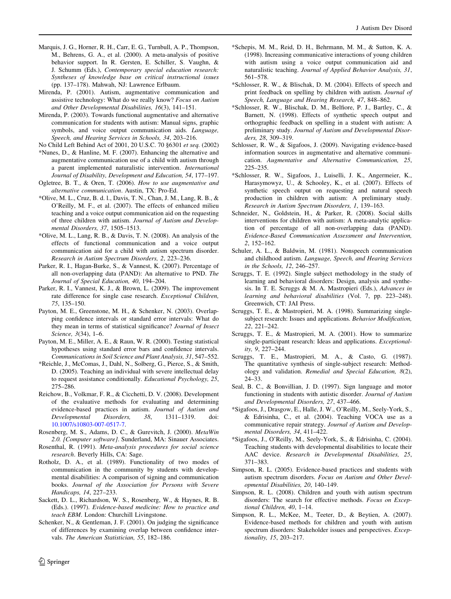- <span id="page-13-0"></span>Marquis, J. G., Horner, R. H., Carr, E. G., Turnbull, A. P., Thompson, M., Behrens, G. A., et al. (2000). A meta-analysis of positive behavior support. In R. Gersten, E. Schiller, S. Vaughn, & J. Schumm (Eds.), Contemporary special education research: Syntheses of knowledge base on critical instructional issues (pp. 137–178). Mahwah, NJ: Lawrence Erlbaum.
- Mirenda, P. (2001). Autism, augmentative communication and assistive technology: What do we really know? Focus on Autism and Other Developmental Disabilities, 16(3), 141–151.
- Mirenda, P. (2003). Towards functional augmentative and alternative communication for students with autism: Manual signs, graphic symbols, and voice output communication aids. Language, Speech, and Hearing Services in Schools, 34, 203–216.

No Child Left Behind Act of 2001, 20 U.S.C. 70 §6301 et seq. (2002)

- \*Nunes, D., & Hanline, M. F. (2007). Enhancing the alternative and augmentative communication use of a child with autism through a parent implemented naturalistic intervention. International Journal of Disability, Development and Education, 54, 177–197.
- Ogletree, B. T., & Oren, T. (2006). How to use augmentative and alternative communication. Austin, TX: Pro-Ed.
- \*Olive, M. L., Cruz, B. d. l., Davis, T. N., Chan, J. M., Lang, R. B., & O'Reilly, M. F., et al. (2007). The effects of enhanced milieu teaching and a voice output communication aid on the requesting of three children with autism. Journal of Autism and Developmental Disorders, 37, 1505–1513.
- \*Olive, M. L., Lang, R. B., & Davis, T. N. (2008). An analysis of the effects of functional communication and a voice output communication aid for a child with autism spectrum disorder. Research in Autism Spectrum Disorders, 2, 223–236.
- Parker, R. I., Hagan-Burke, S., & Vannest, K. (2007). Percentage of all non-overlapping data (PAND): An alternative to PND. The Journal of Special Education, 40, 194–204.
- Parker, R. I., Vannest, K. J., & Brown, L. (2009). The improvement rate difference for single case research. Exceptional Children, 75, 135–150.
- Payton, M. E., Greenstone, M. H., & Schenker, N. (2003). Overlapping confidence intervals or standard error intervals: What do they mean in terms of statistical significance? Journal of Insect Science, 3(34), 1–6.
- Payton, M. E., Miller, A. E., & Raun, W. R. (2000). Testing statistical hypotheses using standard error bars and confidence intervals. Communications in Soil Science and Plant Analysis, 31, 547–552.
- \*Reichle, J., McComas, J., Dahl, N., Solberg, G., Pierce, S., & Smith, D. (2005). Teaching an individual with severe intellectual delay to request assistance conditionally. Educational Psychology, 25, 275–286.
- Reichow, B., Volkmar, F. R., & Cicchetti, D. V. (2008). Development of the evaluative methods for evaluating and determining evidence-based practices in autism. Journal of Autism and Developmental Disorders, 38, 1311–1319. doi: [10.1007/s10803-007-0517-7.](http://dx.doi.org/10.1007/s10803-007-0517-7)
- Rosenberg, M. S., Adams, D. C., & Gurevitch, J. (2000). MetaWin 2.0. [Computer software]. Sunderland, MA: Sinauer Associates.
- Rosenthal, R. (1991). Meta-analysis procedures for social science research. Beverly Hills, CA: Sage.
- Rotholz, D. A., et al. (1989). Functionality of two modes of communication in the community by students with developmental disabilities: A comparison of signing and communication books. Journal of the Association for Persons with Severe Handicaps, 14, 227–233.
- Sackett, D. L., Richardson, W. S., Rosenberg, W., & Haynes, R. B. (Eds.). (1997). Evidence-based medicine: How to practice and teach EBM. London: Churchill Livingstone.
- Schenker, N., & Gentleman, J. F. (2001). On judging the significance of differences by examining overlap between confidence intervals. The American Statistician, 55, 182–186.
- \*Schepis, M. M., Reid, D. H., Behrmann, M. M., & Sutton, K. A. (1998). Increasing communicative interactions of young children with autism using a voice output communication aid and naturalistic teaching. Journal of Applied Behavior Analysis, 31, 561–578.
- \*Schlosser, R. W., & Blischak, D. M. (2004). Effects of speech and print feedback on spelling by children with autism. Journal of Speech, Language and Hearing Research, 47, 848–862.
- \*Schlosser, R. W., Blischak, D. M., Belfiore, P. J., Bartley, C., & Barnett, N. (1998). Effects of synthetic speech output and orthographic feedback on spelling in a student with autism: A preliminary study. Journal of Autism and Developmental Disorders, 28, 309–319.
- Schlosser, R. W., & Sigafoos, J. (2009). Navigating evidence-based information sources in augmentative and alternative communication. Augmentative and Alternative Communication, 25, 225–235.
- \*Schlosser, R. W., Sigafoos, J., Luiselli, J. K., Angermeier, K., Harasymowyz, U., & Schooley, K., et al. (2007). Effects of synthetic speech output on requesting and natural speech production in children with autism: A preliminary study. Research in Autism Spectrum Disorders, 1, 139–163.
- Schneider, N., Goldstein, H., & Parker, R. (2008). Social skills interventions for children with autism: A meta-analytic application of percentage of all non-overlapping data (PAND). Evidence-Based Communication Assessment and Intervention, 2, 152–162.
- Schuler, A. L., & Baldwin, M. (1981). Nonspeech communication and childhood autism. Language, Speech, and Hearing Services in the Schools, 12, 246–257.
- Scruggs, T. E. (1992). Single subject methodology in the study of learning and behavioral disorders: Design, analysis and synthesis. In T. E. Scruggs & M. A. Mastropieri (Eds.), Advances in learning and behavioral disabilities (Vol. 7, pp. 223–248). Greenwich, CT: JAI Press.
- Scruggs, T. E., & Mastropieri, M. A. (1998). Summarizing singlesubject research: Issues and applications. Behavior Modification, 22, 221–242.
- Scruggs, T. E., & Mastropieri, M. A. (2001). How to summarize single-participant research: Ideas and applications. Exceptionality, 9, 227–244.
- Scruggs, T. E., Mastropieri, M. A., & Casto, G. (1987). The quantitative synthesis of single-subject research: Methodology and validation. Remedial and Special Education, 8(2), 24–33.
- Seal, B. C., & Bonvillian, J. D. (1997). Sign language and motor functioning in students with autistic disorder. Journal of Autism and Developmental Disorders, 27, 437–466.
- \*Sigafoos, J., Drasgow, E., Halle, J. W., O'Reilly, M., Seely-York, S., & Edrisinha, C., et al. (2004). Teaching VOCA use as a communicative repair strategy. Journal of Autism and Developmental Disorders, 34, 411–422.
- \*Sigafoos, J., O'Reilly, M., Seely-York, S., & Edrisinha, C. (2004). Teaching students with developmental disabilities to locate their AAC device. Research in Developmental Disabilities, 25, 371–383.
- Simpson, R. L. (2005). Evidence-based practices and students with autism spectrum disorders. Focus on Autism and Other Developmental Disabilities, 20, 140–149.
- Simpson, R. L. (2008). Children and youth with autism spectrum disorders: The search for effective methods. Focus on Exceptional Children, 40, 1–14.
- Simpson, R. L., McKee, M., Teeter, D., & Beytien, A. (2007). Evidence-based methods for children and youth with autism spectrum disorders: Stakeholder issues and perspectives. Exceptionality, 15, 203–217.